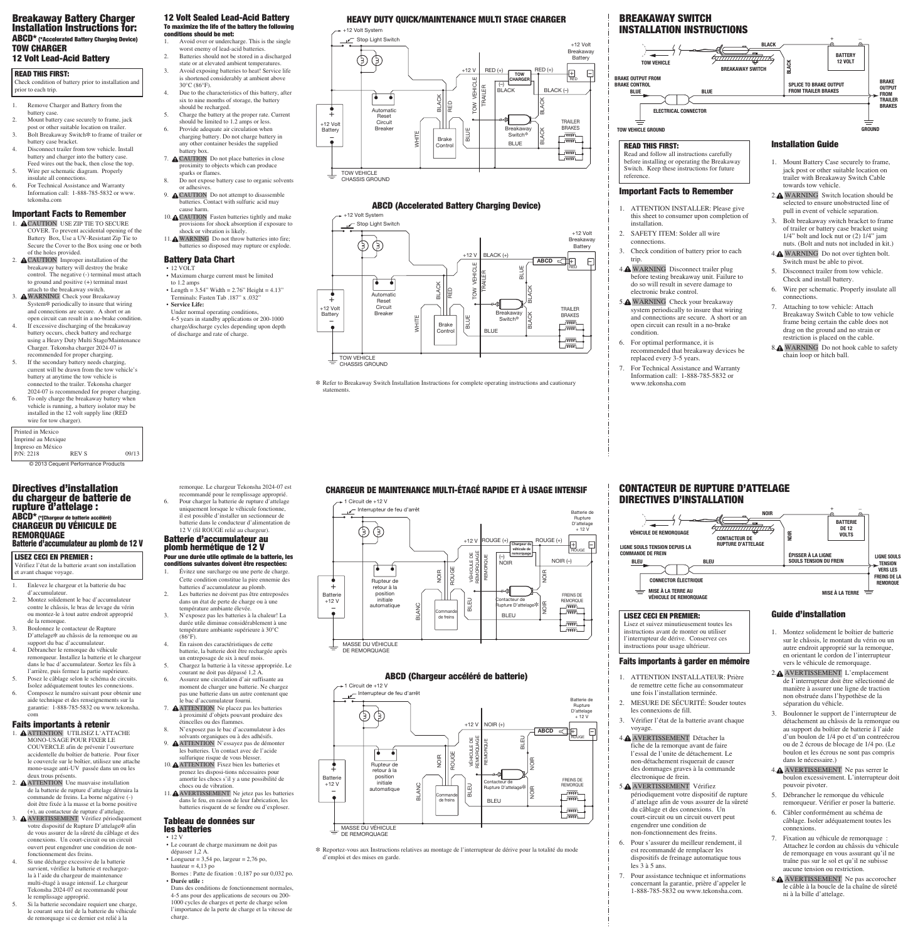#### 12 Volt Sealed Lead-Acid Battery To maximize the life of the battery the following conditions should be met:

- 1. Avoid over or undercharge. This is the single worst enemy of lead-acid batteries.
- 2. Batteries should not be stored in a discharged state or at elevated ambient temperatures. 3. Avoid exposing batteries to heat! Service life is shortened considerably at ambient above
- 30°C (86°F). 4. Due to the characteristics of this battery, after six to nine months of storage, the battery
- should be recharged. 5. Charge the battery at the proper rate. Current
- should be limited to 1.2 amps or less. 6. Provide adequate air circulation when charging battery. Do not charge battery in any other container besides the supplied
- battery box. 7. A CAUTION Do not place batteries in close proximity to objects which can produce sparks or flames.
- 8. Do not expose battery case to organic solvents or adhesives. 9. **A CAUTION** Do not attempt to disassemble batteries. Contact with sulfuric acid may
- cause harm. 10. CAUTION Fasten batteries tightly and make provisions for shock absorption if exposure to
- shock or vibration is likely. 11. WARNING Do not throw batteries into fire; batteries so disposed may rupture or explode.

- 12 VOLT • Maximum charge current must be limited
- to 1.2 amps • Length =  $3.54$ " Width =  $2.76$ " Height =  $4.13$ " Terminals: Fasten Tab .187" x .032"
- **Service Life:** Under normal operating conditions, 4-5 years in standby applications or 200-1000
- charge/discharge cycles depending upon depth of discharge and rate of charge.

#### Battery Data Chart

- 1. A CAUTION USE ZIP TIE TO SECURE COVER. To prevent accidental opening of the Battery Box, Use a UV-Resistant Zip Tie to Secure the Cover to the Box using one or both of the holes provided.
- 2. **A CAUTION** Improper installation of the breakaway battery will destroy the brake control. The negative (-) terminal must attach to ground and positive (+) terminal must attach to the breakaway switch.
- 3. WARNING Check your Breakaway System\* periodically to insure that wiring and connections are secure. A short or an open circuit can result in a no-brake condition.
- 4. If excessive discharging of the breakaway battery occurs, check battery and recharge using a Heavy Duty Multi Stage/Maintenance Charger. Tekonsha charger 2024-07 is recommended for proper charging.
- 5. If the secondary battery needs charging, current will be drawn from the tow vehicle's battery at anytime the tow vehicle is connected to the trailer. Tekonsha charger 2024-07 is recommended for proper charging.
- 6. To only charge the breakaway battery when vehicle is running, a battery isolator may be installed in the 12 volt supply line (RED wire for tow charger).
- 1. Remove Charger and Battery from the battery case
- 2. Mount battery case securely to frame, jack post or other suitable location on trailer. 3. Bolt Breakaway Switch\* to frame of trailer or
- battery case bracket. 4. Disconnect trailer from tow vehicle. Install
- battery and charger into the battery case. Feed wires out the back, then close the top. 5. Wire per schematic diagram. Properly
- insulate all connections. 6. For Technical Assistance and Warranty Information call: 1-888-785-5832 or www. tekonsha.com

### Important Facts to Remember

\* Refer to Breakaway Switch Installation Instructions for complete operating instructions and cautionary statements.

### Breakaway Battery Charger Installation Instructions for: ABCD\* (\*Accelerated Battery Charging Device) TOW CHARGER

## 12 Volt Lead-Acid Battery

| Printed in Mexico  |              |       |
|--------------------|--------------|-------|
| Imprimé au Mexique |              |       |
| Impreso en México  |              |       |
| P/N: 2218          | <b>REV S</b> | 09/13 |
|                    |              |       |

+12 Volt System





# Heavy Duty Quick/Maintenance Multi Stage Charger

### ABCD (Accelerated Battery Charging Device)

#### White White White White White White White White White White White White White Whi +12 Volt System Stop Light Switch +12 Volt Breakaway  $\mathop{\oplus}\mathop{\oplus}$ **Battery** +12 V Black (+) –  $\overline{ABCD}$   $\subset$   $\overline{++}$ TOW VEHICLE Red Blue TRAILER  $\bullet$ **BLACK** Black Red  $\bullet$ Automatic Reset +12 Volt **Circuit TRAILER** Breake Breakaway **Battery** Black Brakes WHITE Switch<sup>></sup> <u>\_ ത്തപ</u> Brake la  $\bullet$ . ணட **BLUE** Contro  $\overline{\text{com}}$ டணட Tow Vehicle CHASSIS GROUND

#### READ THIS FIRST:

Composez le numéro suivant pour obtenir une aide technique et des renseignements sur la garantie: 1-888-785-5832 ou www.tekonsha. com

Check condition of battery prior to installation and prior to each trip.



Important Facts to Remember

1. ATTENTION INSTALLER: Please give this sheet to consumer upon completion of

installation.

2. SAFETY ITEM: Solder all wire

connections.

3. Check condition of battery prior to each

trip.

4. WARNING Disconnect trailer plug before testing breakaway unit. Failure to do so will result in severe damage to

electronic brake control. 5. WARNING Check your breakaway system periodically to insure that wiring and connections are secure. A short or an open circuit can result in a no-brake

condition.

6. For optimal performance, it is

recommended that breakaway devices be replaced every 3-5 years. 7. For Technical Assistance and Warranty Information call: 1-888-785-5832 or www.tekonsha.com

### Installation Guide

- 1. Mount Battery Case securely to frame, jack post or other suitable location on trailer with Breakaway Switch Cable towards tow vehicle.
	- 2. WARNING Switch location should be selected to ensure unobstructed line of pull in event of vehicle separation.
	- 3. Bolt breakaway switch bracket to frame of trailer or battery case bracket using 1/4" bolt and lock nut or (2) 1/4" jam nuts. (Bolt and nuts not included in kit.)
	- 4. WARNING Do not over tighten bolt. Switch must be able to pivot.
	- 5. Disconnect trailer from tow vehicle. Check and install battery.
	- 6. Wire per schematic. Properly insulate all connections.
	- 7. Attaching to tow vehicle: Attach Breakaway Switch Cable to tow vehicle frame being certain the cable does not drag on the ground and no strain or restriction is placed on the cable.
	- 8.<sup>M</sup> WARNING Do not hook cable to safety chain loop or hitch ball.

READ THIS FIRST:

Read and follow all instructions carefully before installing or operating the Breakaway Switch. Keep these instructions for future

reference.

# BREAKAWAY SWITCH INSTALLATION INSTRUCTIONS

# Chargeur de maintenance multi-étagé rapide et à usage intensif

### ABCD (Chargeur accéléré de batterie)

#### $\rightarrow$  1 Circuit de +12 V





\ Reportez-vous aux Instructions relatives au montage de l'interrupteur de dérive pour la totalité du mode d'emploi et des mises en garde.

#### Directives d'installation du chargeur de batterie de rupture d'attelage : ABCD\* (\*[Chargeur de batterie accéléré) CHARGEUR DU VÉHICULE DE REMORQUAGE Batterie d'accumulateur au plomb de 12 V

- 1. Enlevez le chargeur et la batterie du bac d'accumulateur.
- 2. Montez solidement le bac d'accumulateur contre le châssis, le bras de levage du vérin ou montez-le à tout autre endroit approprié de la remorque.
- 3. Boulonnez le contacteur de Rupture D'attelage\ au châssis de la remorque ou au support du bac d'accumulateur.
- 4. Débrancher le remorque du véhicule remorqueur. Installez la batterie et le chargeur dans le bac d'accumulateur. Sortez les fils à l'arrière, puis fermez la partie supérieure.
- 5. Posez le câblage selon le schéma de circuits. Isolez adéquatement toutes les connexions.

#### Faits importants à retenir

- 1. ATTENTION UTILISEZ L'ATTACHE MONO-USAGE POUR FIXER LE COUVERCLE afin de prévenir l'ouverture accidentelle du boîtier de batterie. Pour fixer le couvercle sur le boîtier, utilisez une attache mono-usage anti-UV passée dans un ou les deux trous présents.
- 2. **A ATTENTION** Une mauvaise installation de la batterie de rupture d'attelage détruira la commande de freins. La borne négative (-) doit être fixée à la masse et la borne positive (+), au contacteur de rupture d'attelage.
- 3. AVERTISSEMENT Vérifiez périodiquement votre dispositif de Rupture D'attelage\ afin de vous assurer de la sûreté du câblage et des connexions. Un court-circuit ou un circuit ouvert peut engendrer une condition de nonfonctionnement des freins.
- 4. Si une décharge excessive de la batterie survient, vérifiez la batterie et rechargezla à l'aide du chargeur de maintenance multi-étagé à usage intensif. Le chargeur Tekonsha 2024-07 est recommandé pour le remplissage approprié.
- 5. Si la batterie secondaire requiert une charge, le courant sera tiré de la batterie du véhicule de remorquage si ce dernier est relié à la



#### Batterie d'accumulateur au plomb hermétique de 12 V Pour une durée utile optimale de la batterie, les conditions suivantes doivent être respectées:

- 1. Évitez une surcharge ou une perte de charge. Cette condition constitue la pire ennemie des batteries d'accumulateur au plomb.
- 2. Les batteries ne doivent pas être entreposées dans un état de perte de charge ou à une température ambiante élevée.
- 3. N'exposez pas les batteries à la chaleur! La durée utile diminue considérablement à une température ambiante supérieure à 30°C  $(86^{\circ}F)$ .
- 4. En raison des caractéristiques de cette batterie, la batterie doit être rechargée après un entreposage de six à neuf mois. 5. Chargez la batterie à la vitesse appropriée. Le
- courant ne doit pas dépassé 1,2 A. 6. Assurez une circulation d'air suffisante au moment de charger une batterie. Ne chargez
- pas une batterie dans un autre contenant que le bac d'accumulateur fourni.
- 7. ATTENTION Ne placez pas les batteries à proximité d'objets pouvant produire des étincelles ou des flammes.
- 8. N'exposez pas le bac d'accumulateur à des solvants organiques ou à des adhésifs.
- 9. ATTENTION N'essayez pas de démonter les batteries. Un contact avec de l'acide sulfurique risque de vous blesser.
- 10. ATTENTION Fixez bien les batteries et prenez les disposi-tions nécessaires pour amortir les chocs s'il y a une possibilité de chocs ou de vibration.
- 11. AVERTISSEMENT Ne jetez pas les batteries dans le feu, en raison de leur fabrication, les batteries risquent de se fendre ou d'exploser.

#### Tableau de données sur les batteries

• 12 V

- Le courant de charge maximum ne doit pas dépasser 1,2 A.
- Longueur =  $3,54$  po, largeur =  $2,76$  po, hauteur  $= 4,13$  po Bornes : Patte de fixation : 0,187 po sur 0,032 po.
- **Durée utile :**
- Dans des conditions de fonctionnement normales, 4-5 ans pour des applications de secours ou 200- 1000 cycles de charges et perte de charge selon l'importance de la perte de charge et la vitesse de charge.

#### LISEZ CECI EN PREMIER :

Vérifiez l'état de la batterie avant son installation et avant chaque voyage.

- Faits importants à garder en mémoire
- 1. ATTENTION INSTALLATEUR: Prière de remettre cette fiche au consommateur

une fois l'installation terminée.

- 2. MESURE DE SÉCURITÉ: Souder toutes les connexions de fill.
- 3. Vérifier l'état de la batterie avant chaque voyage.
- 4. AVERTISSEMENT Détacher la fiche de la remorque avant de faire l'essal de l'unite de détachement. Le non-détachement risquerait de causer des dommages graves à la commande électronique de frein.
- 5. AVERTISSEMENT Vérifiez périodiquement votre dispositif de rupture d'attelage afin de vous assurer de la sûreté du câblage et des connexions. Un court-circuit ou un circuit ouvert peut engendrer une condition de non-fonctionnement des freins.
- 6. Pour s'assurer du meilleur rendement, il est recommandé de remplacer les dispositifs de freinage automatique tous les 3 à 5 ans.
- 7. Pour assistance technique et informations concernant la garantie, prière d'appeler le 1-888-785-5832 ou www.tekonsha.com.

autre endroit approprié sur la remorque, en orientant le cordon de l'interrupteur vers le véhicule de remorquage. 2. AVERTISSEMENT L'emplacement de I'interrupteur doit être sélectionné de

manière à assurer une ligne de traction non obstruée dans l'hypothèse de la séparation du véhicle.



- 3. Boulonner le support de l'interrupteur de détachement au châssis de la remorque ou au support du boîtier de batterie â l'aide d'un boulon de 1/4 po et d'un contreécrou ou de 2 écrous de blocage de 1/4 po. (Le boulon et les écrous ne sont pas compris dans le nécessaire.)
- 4. AVERTISSEMENT Ne pas serrer le boulon excessivement. L'interrupteur doit pouvoir pivoter.
- 5. Débrancher le remorque du véhicule remorqueur. Vérifier er poser la batterie.
- 6. Câbler conformément au schéma de câblage. Isoler adéquatement toutes les connexions.
- 7. Fixation au véhicule de remorquage : Attachez le cordon au châssis du véhicule de remorquage en vous assurant qu'il ne traîne pas sur le sol et qu'il ne subisse aucune tension ou restriction.
- 8. A AVERTISSEMENT Ne pas accorocher le câble à la boucle de la chaîne de sûreté ni à la bille d'attelage.

instructions pour usage ultérieur.

### CONTACTEUR DE RUPTURE D'ATTELAGE DIRECTIVES D'INSTALLATION

© 2013 Cequent Performance Products